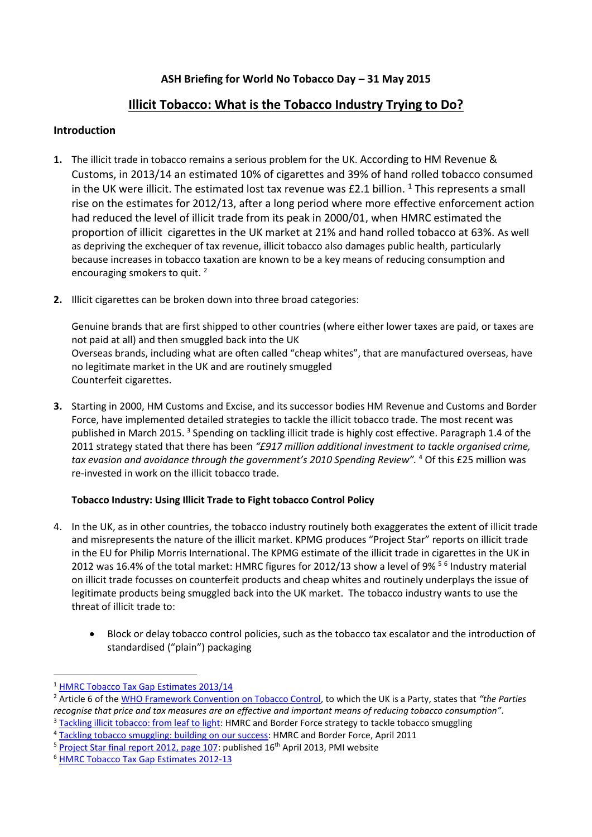## **ASH Briefing for World No Tobacco Day – 31 May 2015**

# **Illicit Tobacco: What is the Tobacco Industry Trying to Do?**

### **Introduction**

- **1.** The illicit trade in tobacco remains a serious problem for the UK. According to HM Revenue & Customs, in 2013/14 an estimated 10% of cigarettes and 39% of hand rolled tobacco consumed in the UK were illicit. The estimated lost tax revenue was  $£2.1$  billion. <sup>1</sup> This represents a small rise on the estimates for 2012/13, after a long period where more effective enforcement action had reduced the level of illicit trade from its peak in 2000/01, when HMRC estimated the proportion of illicit cigarettes in the UK market at 21% and hand rolled tobacco at 63%. As well as depriving the exchequer of tax revenue, illicit tobacco also damages public health, particularly because increases in tobacco taxation are known to be a key means of reducing consumption and encouraging smokers to quit. <sup>2</sup>
- **2.** Illicit cigarettes can be broken down into three broad categories:

Genuine brands that are first shipped to other countries (where either lower taxes are paid, or taxes are not paid at all) and then smuggled back into the UK Overseas brands, including what are often called "cheap whites", that are manufactured overseas, have no legitimate market in the UK and are routinely smuggled Counterfeit cigarettes.

**3.** Starting in 2000, HM Customs and Excise, and its successor bodies HM Revenue and Customs and Border Force, have implemented detailed strategies to tackle the illicit tobacco trade. The most recent was published in March 2015.<sup>3</sup> Spending on tackling illicit trade is highly cost effective. Paragraph 1.4 of the 2011 strategy stated that there has been *"£917 million additional investment to tackle organised crime, tax evasion and avoidance through the government's 2010 Spending Review".* <sup>4</sup> Of this £25 million was re-invested in work on the illicit tobacco trade.

#### **Tobacco Industry: Using Illicit Trade to Fight tobacco Control Policy**

- 4. In the UK, as in other countries, the tobacco industry routinely both exaggerates the extent of illicit trade and misrepresents the nature of the illicit market. KPMG produces "Project Star" reports on illicit trade in the EU for Philip Morris International. The KPMG estimate of the illicit trade in cigarettes in the UK in 2012 was 16.4% of the total market: HMRC figures for 2012/13 show a level of 9%<sup>56</sup> Industry material on illicit trade focusses on counterfeit products and cheap whites and routinely underplays the issue of legitimate products being smuggled back into the UK market. The tobacco industry wants to use the threat of illicit trade to:
	- Block or delay tobacco control policies, such as the tobacco tax escalator and the introduction of standardised ("plain") packaging

 $\overline{a}$ 

<sup>1</sup> [HMRC Tobacco Tax Gap Estimates 2013/14](https://www.gov.uk/government/uploads/system/uploads/attachment_data/file/364011/141016_Tobacco_Tax_Gap_2014.pdf) 

<sup>2</sup> Article 6 of the [WHO Framework Convention on Tobacco Control,](http://www.who.int/fctc/text_download/en/) to which the UK is a Party, states that *"the Parties recognise that price and tax measures are an effective and important means of reducing tobacco consumption".*

<sup>&</sup>lt;sup>3</sup> [Tackling illicit tobacco: from leaf to light:](https://www.gov.uk/government/publications/tackling-illicit-tobacco-from-leaf-to-light) HMRC and Border Force strategy to tackle tobacco smuggling

<sup>4</sup> [Tackling tobacco smuggling: building on our success:](http://www.ash.org.uk/files/documents/ASH_814.pdf) HMRC and Border Force, April 2011

 $5$  [Project Star final report 2012, page 107:](http://www.pmi.com/eng/media_center/media_kit/documents/project_star_2012_final_report.pdf) published 16<sup>th</sup> April 2013, PMI website

<sup>6</sup> [HMRC Tobacco Tax Gap Estimates 2012-13](https://www.gov.uk/government/uploads/system/uploads/attachment_data/file/249543/131009_Publication_of_Tobacco_Tax_Gap_estimates_2012-13.pdf)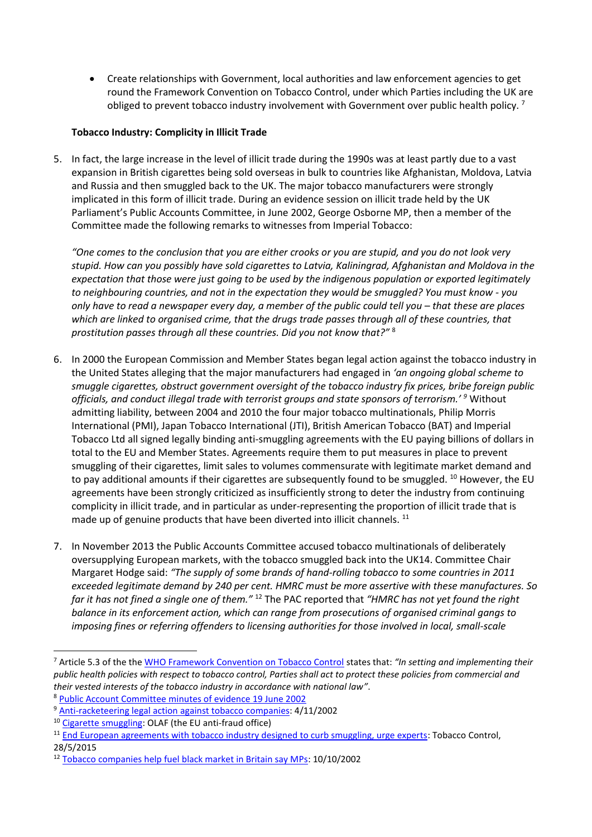Create relationships with Government, local authorities and law enforcement agencies to get round the Framework Convention on Tobacco Control, under which Parties including the UK are obliged to prevent tobacco industry involvement with Government over public health policy. <sup>7</sup>

#### **Tobacco Industry: Complicity in Illicit Trade**

5. In fact, the large increase in the level of illicit trade during the 1990s was at least partly due to a vast expansion in British cigarettes being sold overseas in bulk to countries like Afghanistan, Moldova, Latvia and Russia and then smuggled back to the UK. The major tobacco manufacturers were strongly implicated in this form of illicit trade. During an evidence session on illicit trade held by the UK Parliament's Public Accounts Committee, in June 2002, George Osborne MP, then a member of the Committee made the following remarks to witnesses from Imperial Tobacco:

*"One comes to the conclusion that you are either crooks or you are stupid, and you do not look very stupid. How can you possibly have sold cigarettes to Latvia, Kaliningrad, Afghanistan and Moldova in the expectation that those were just going to be used by the indigenous population or exported legitimately to neighbouring countries, and not in the expectation they would be smuggled? You must know - you only have to read a newspaper every day, a member of the public could tell you – that these are places which are linked to organised crime, that the drugs trade passes through all of these countries, that prostitution passes through all these countries. Did you not know that?"* <sup>8</sup>

- 6. In 2000 the European Commission and Member States began legal action against the tobacco industry in the United States alleging that the major manufacturers had engaged in *'an ongoing global scheme to smuggle cigarettes, obstruct government oversight of the tobacco industry fix prices, bribe foreign public officials, and conduct illegal trade with terrorist groups and state sponsors of terrorism.' <sup>9</sup>* Without admitting liability, between 2004 and 2010 the four major tobacco multinationals, Philip Morris International (PMI), Japan Tobacco International (JTI), British American Tobacco (BAT) and Imperial Tobacco Ltd all signed legally binding anti-smuggling agreements with the EU paying billions of dollars in total to the EU and Member States. Agreements require them to put measures in place to prevent smuggling of their cigarettes, limit sales to volumes commensurate with legitimate market demand and to pay additional amounts if their cigarettes are subsequently found to be smuggled. <sup>10</sup> However, the EU agreements have been strongly criticized as insufficiently strong to deter the industry from continuing complicity in illicit trade, and in particular as under-representing the proportion of illicit trade that is made up of genuine products that have been diverted into illicit channels.<sup>11</sup>
- 7. In November 2013 the Public Accounts Committee accused tobacco multinationals of deliberately oversupplying European markets, with the tobacco smuggled back into the UK14. Committee Chair Margaret Hodge said: *"The supply of some brands of hand-rolling tobacco to some countries in 2011 exceeded legitimate demand by 240 per cent. HMRC must be more assertive with these manufactures. So far it has not fined a single one of them."* <sup>12</sup> The PAC reported that *"HMRC has not yet found the right balance in its enforcement action, which can range from prosecutions of organised criminal gangs to imposing fines or referring offenders to licensing authorities for those involved in local, small-scale*

1

<sup>7</sup> Article 5.3 of the th[e WHO Framework Convention on Tobacco Control](http://www.who.int/fctc/text_download/en/) states that: *"In setting and implementing their public health policies with respect to tobacco control, Parties shall act to protect these policies from commercial and their vested interests of the tobacco industry in accordance with national law"*.

<sup>8</sup> [Public Account Committee minutes of evidence 19 June 2002](http://www.publications.parliament.uk/pa/cm200203/cmselect/cmpubacc/143/2061901.htm)

<sup>9</sup> [Anti-racketeering legal action against tobacco companies:](http://www.ash.org.uk/files/documents/ASH_577.pdf) 4/11/2002

<sup>10</sup> [Cigarette smuggling:](http://ec.europa.eu/anti_fraud/investigations/eu-revenue/cigarette_smuggling_en.htm) OLAF (the EU anti-fraud office)

<sup>&</sup>lt;sup>11</sup> [End European agreements with tobacco industry designed to curb smuggling, urge experts:](http://tobaccocontrol.bmj.com/lookup/doi/10.1136/tobaccocontrol-2014-052218) Tobacco Control, 28/5/2015

<sup>12</sup> [Tobacco companies help fuel black market in Britain say MPs:](http://www.theguardian.com/business/2013/oct/10/tobacco-companies-fuel-black-market) 10/10/2002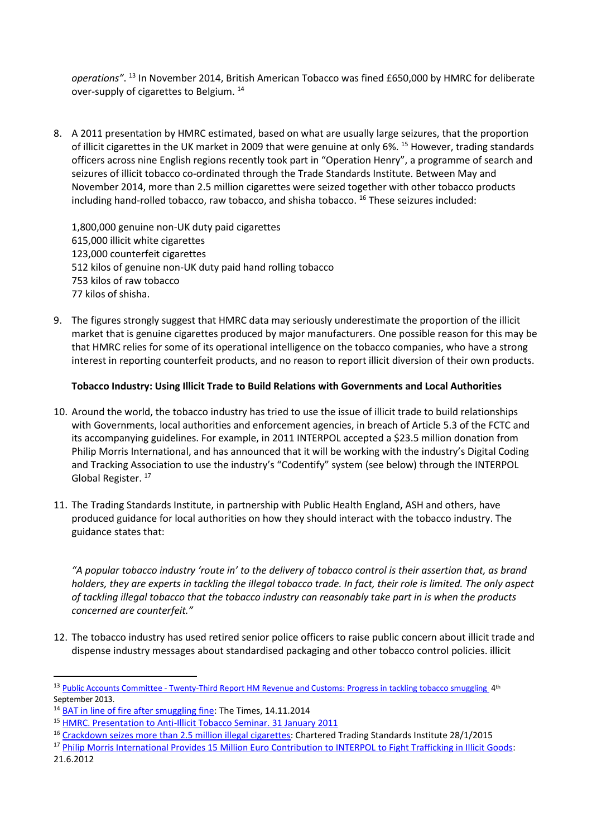*operations"*. <sup>13</sup> In November 2014, British American Tobacco was fined £650,000 by HMRC for deliberate over-supply of cigarettes to Belgium. <sup>14</sup>

8. A 2011 presentation by HMRC estimated, based on what are usually large seizures, that the proportion of illicit cigarettes in the UK market in 2009 that were genuine at only 6%. <sup>15</sup> However, trading standards officers across nine English regions recently took part in "Operation Henry", a programme of search and seizures of illicit tobacco co-ordinated through the Trade Standards Institute. Between May and November 2014, more than 2.5 million cigarettes were seized together with other tobacco products including hand-rolled tobacco, raw tobacco, and shisha tobacco. <sup>16</sup> These seizures included:

1,800,000 genuine non-UK duty paid cigarettes 615,000 illicit white cigarettes 123,000 counterfeit cigarettes 512 kilos of genuine non-UK duty paid hand rolling tobacco 753 kilos of raw tobacco 77 kilos of shisha.

9. The figures strongly suggest that HMRC data may seriously underestimate the proportion of the illicit market that is genuine cigarettes produced by major manufacturers. One possible reason for this may be that HMRC relies for some of its operational intelligence on the tobacco companies, who have a strong interest in reporting counterfeit products, and no reason to report illicit diversion of their own products.

#### **Tobacco Industry: Using Illicit Trade to Build Relations with Governments and Local Authorities**

- 10. Around the world, the tobacco industry has tried to use the issue of illicit trade to build relationships with Governments, local authorities and enforcement agencies, in breach of Article 5.3 of the FCTC and its accompanying guidelines. For example, in 2011 INTERPOL accepted a \$23.5 million donation from Philip Morris International, and has announced that it will be working with the industry's Digital Coding and Tracking Association to use the industry's "Codentify" system (see below) through the INTERPOL Global Register.<sup>17</sup>
- 11. The Trading Standards Institute, in partnership with Public Health England, ASH and others, have produced guidance for local authorities on how they should interact with the tobacco industry. The guidance states that:

*"A popular tobacco industry 'route in' to the delivery of tobacco control is their assertion that, as brand holders, they are experts in tackling the illegal tobacco trade. In fact, their role is limited. The only aspect of tackling illegal tobacco that the tobacco industry can reasonably take part in is when the products concerned are counterfeit."*

12. The tobacco industry has used retired senior police officers to raise public concern about illicit trade and dispense industry messages about standardised packaging and other tobacco control policies. illicit

**.** 

<sup>&</sup>lt;sup>13</sup> Public Accounts Committee - [Twenty-Third Report HM Revenue and Customs: Progress in tackling tobacco smuggling](http://www.publications.parliament.uk/pa/cm201314/cmselect/cmpubacc/297/29702.htm) 4<sup>th</sup> September 2013.

<sup>&</sup>lt;sup>14</sup> [BAT in line of fire after smuggling fine:](http://www.thetimes.co.uk/tto/business/industries/consumer/article4267236.ece) The Times, 14.11.2014

<sup>15</sup> [HMRC. Presentation to Anti-Illicit Tobacco Seminar. 31 January 2011](http://www.the-tma.org.uk/wp-content/uploads/2011/03/HMRC.pdf)

<sup>16</sup> [Crackdown seizes more than 2.5 million illegal cigarettes:](http://www.tradingstandards.uk/policy/policy-pressitem.cfm/newsid/1705) Chartered Trading Standards Institute 28/1/2015

<sup>17</sup> [Philip Morris International Provides 15 Million Euro Contribution to INTERPOL to Fight Trafficking in Illicit Goods:](http://www.pmi.com/eng/media_center/press_releases/pages/201206210200.aspx) 21.6.2012